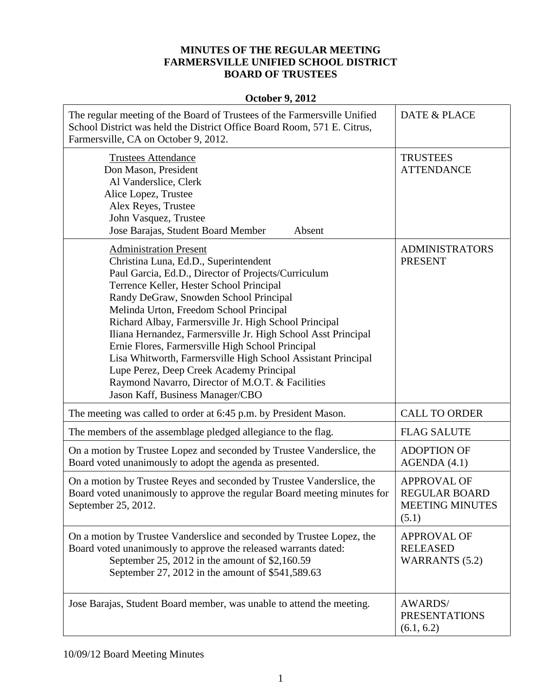## **MINUTES OF THE REGULAR MEETING FARMERSVILLE UNIFIED SCHOOL DISTRICT BOARD OF TRUSTEES**

## **October 9, 2012**

| The regular meeting of the Board of Trustees of the Farmersville Unified<br>School District was held the District Office Board Room, 571 E. Citrus,<br>Farmersville, CA on October 9, 2012.                                                                                                                                                                                                                                                                                                                                                                                                                                                      | DATE & PLACE                                                                  |
|--------------------------------------------------------------------------------------------------------------------------------------------------------------------------------------------------------------------------------------------------------------------------------------------------------------------------------------------------------------------------------------------------------------------------------------------------------------------------------------------------------------------------------------------------------------------------------------------------------------------------------------------------|-------------------------------------------------------------------------------|
| <b>Trustees Attendance</b><br>Don Mason, President<br>Al Vanderslice, Clerk<br>Alice Lopez, Trustee<br>Alex Reyes, Trustee<br>John Vasquez, Trustee<br>Jose Barajas, Student Board Member<br>Absent                                                                                                                                                                                                                                                                                                                                                                                                                                              | <b>TRUSTEES</b><br><b>ATTENDANCE</b>                                          |
| <b>Administration Present</b><br>Christina Luna, Ed.D., Superintendent<br>Paul Garcia, Ed.D., Director of Projects/Curriculum<br>Terrence Keller, Hester School Principal<br>Randy DeGraw, Snowden School Principal<br>Melinda Urton, Freedom School Principal<br>Richard Albay, Farmersville Jr. High School Principal<br>Iliana Hernandez, Farmersville Jr. High School Asst Principal<br>Ernie Flores, Farmersville High School Principal<br>Lisa Whitworth, Farmersville High School Assistant Principal<br>Lupe Perez, Deep Creek Academy Principal<br>Raymond Navarro, Director of M.O.T. & Facilities<br>Jason Kaff, Business Manager/CBO | <b>ADMINISTRATORS</b><br><b>PRESENT</b>                                       |
| The meeting was called to order at 6:45 p.m. by President Mason.                                                                                                                                                                                                                                                                                                                                                                                                                                                                                                                                                                                 | <b>CALL TO ORDER</b>                                                          |
| The members of the assemblage pledged allegiance to the flag.                                                                                                                                                                                                                                                                                                                                                                                                                                                                                                                                                                                    | <b>FLAG SALUTE</b>                                                            |
| On a motion by Trustee Lopez and seconded by Trustee Vanderslice, the<br>Board voted unanimously to adopt the agenda as presented.                                                                                                                                                                                                                                                                                                                                                                                                                                                                                                               | <b>ADOPTION OF</b><br>AGENDA (4.1)                                            |
| On a motion by Trustee Reyes and seconded by Trustee Vanderslice, the<br>Board voted unanimously to approve the regular Board meeting minutes for<br>September 25, 2012.                                                                                                                                                                                                                                                                                                                                                                                                                                                                         | <b>APPROVAL OF</b><br><b>REGULAR BOARD</b><br><b>MEETING MINUTES</b><br>(5.1) |
| On a motion by Trustee Vanderslice and seconded by Trustee Lopez, the<br>Board voted unanimously to approve the released warrants dated:<br>September 25, 2012 in the amount of \$2,160.59<br>September 27, 2012 in the amount of \$541,589.63                                                                                                                                                                                                                                                                                                                                                                                                   | <b>APPROVAL OF</b><br><b>RELEASED</b><br><b>WARRANTS</b> (5.2)                |
| Jose Barajas, Student Board member, was unable to attend the meeting.                                                                                                                                                                                                                                                                                                                                                                                                                                                                                                                                                                            | <b>AWARDS/</b><br><b>PRESENTATIONS</b><br>(6.1, 6.2)                          |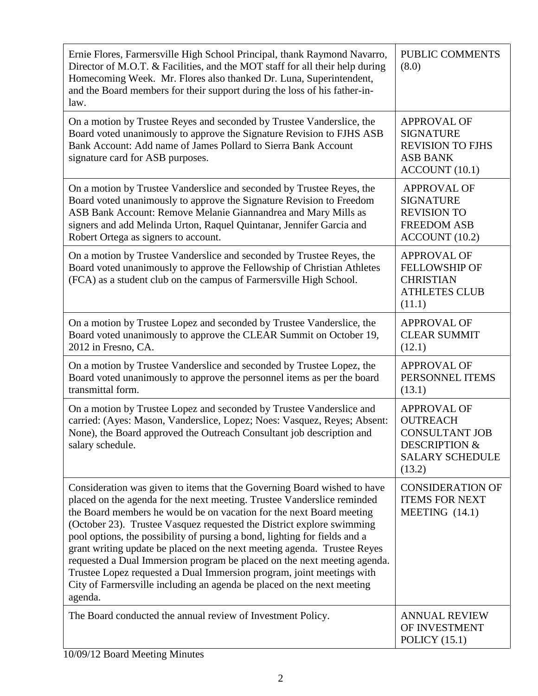| Ernie Flores, Farmersville High School Principal, thank Raymond Navarro,<br>Director of M.O.T. & Facilities, and the MOT staff for all their help during<br>Homecoming Week. Mr. Flores also thanked Dr. Luna, Superintendent,<br>and the Board members for their support during the loss of his father-in-<br>law.                                                                                                                                                                                                                                                                                                                                                                                      | PUBLIC COMMENTS<br>(8.0)                                                                                                       |
|----------------------------------------------------------------------------------------------------------------------------------------------------------------------------------------------------------------------------------------------------------------------------------------------------------------------------------------------------------------------------------------------------------------------------------------------------------------------------------------------------------------------------------------------------------------------------------------------------------------------------------------------------------------------------------------------------------|--------------------------------------------------------------------------------------------------------------------------------|
| On a motion by Trustee Reyes and seconded by Trustee Vanderslice, the<br>Board voted unanimously to approve the Signature Revision to FJHS ASB<br>Bank Account: Add name of James Pollard to Sierra Bank Account<br>signature card for ASB purposes.                                                                                                                                                                                                                                                                                                                                                                                                                                                     | <b>APPROVAL OF</b><br><b>SIGNATURE</b><br><b>REVISION TO FJHS</b><br><b>ASB BANK</b><br>ACCOUNT (10.1)                         |
| On a motion by Trustee Vanderslice and seconded by Trustee Reyes, the<br>Board voted unanimously to approve the Signature Revision to Freedom<br>ASB Bank Account: Remove Melanie Giannandrea and Mary Mills as<br>signers and add Melinda Urton, Raquel Quintanar, Jennifer Garcia and<br>Robert Ortega as signers to account.                                                                                                                                                                                                                                                                                                                                                                          | <b>APPROVAL OF</b><br><b>SIGNATURE</b><br><b>REVISION TO</b><br><b>FREEDOM ASB</b><br>ACCOUNT (10.2)                           |
| On a motion by Trustee Vanderslice and seconded by Trustee Reyes, the<br>Board voted unanimously to approve the Fellowship of Christian Athletes<br>(FCA) as a student club on the campus of Farmersville High School.                                                                                                                                                                                                                                                                                                                                                                                                                                                                                   | <b>APPROVAL OF</b><br><b>FELLOWSHIP OF</b><br><b>CHRISTIAN</b><br><b>ATHLETES CLUB</b><br>(11.1)                               |
| On a motion by Trustee Lopez and seconded by Trustee Vanderslice, the<br>Board voted unanimously to approve the CLEAR Summit on October 19,<br>2012 in Fresno, CA.                                                                                                                                                                                                                                                                                                                                                                                                                                                                                                                                       | <b>APPROVAL OF</b><br><b>CLEAR SUMMIT</b><br>(12.1)                                                                            |
| On a motion by Trustee Vanderslice and seconded by Trustee Lopez, the<br>Board voted unanimously to approve the personnel items as per the board<br>transmittal form.                                                                                                                                                                                                                                                                                                                                                                                                                                                                                                                                    | <b>APPROVAL OF</b><br>PERSONNEL ITEMS<br>(13.1)                                                                                |
| On a motion by Trustee Lopez and seconded by Trustee Vanderslice and<br>carried: (Ayes: Mason, Vanderslice, Lopez; Noes: Vasquez, Reyes; Absent:<br>None), the Board approved the Outreach Consultant job description and<br>salary schedule.                                                                                                                                                                                                                                                                                                                                                                                                                                                            | <b>APPROVAL OF</b><br><b>OUTREACH</b><br><b>CONSULTANT JOB</b><br><b>DESCRIPTION &amp;</b><br><b>SALARY SCHEDULE</b><br>(13.2) |
| Consideration was given to items that the Governing Board wished to have<br>placed on the agenda for the next meeting. Trustee Vanderslice reminded<br>the Board members he would be on vacation for the next Board meeting<br>(October 23). Trustee Vasquez requested the District explore swimming<br>pool options, the possibility of pursing a bond, lighting for fields and a<br>grant writing update be placed on the next meeting agenda. Trustee Reyes<br>requested a Dual Immersion program be placed on the next meeting agenda.<br>Trustee Lopez requested a Dual Immersion program, joint meetings with<br>City of Farmersville including an agenda be placed on the next meeting<br>agenda. | <b>CONSIDERATION OF</b><br><b>ITEMS FOR NEXT</b><br>MEETING $(14.1)$                                                           |
| The Board conducted the annual review of Investment Policy.                                                                                                                                                                                                                                                                                                                                                                                                                                                                                                                                                                                                                                              | <b>ANNUAL REVIEW</b><br>OF INVESTMENT<br>POLICY $(15.1)$                                                                       |